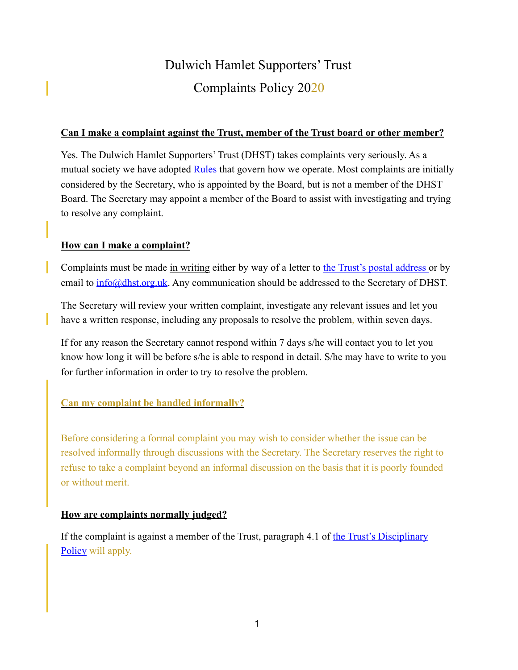# Dulwich Hamlet Supporters' Trust Complaints Policy 2020

#### **Can I make a complaint against the Trust, member of the Trust board or other member?**

Yes. The Dulwich Hamlet Supporters' Trust (DHST) takes complaints very seriously. As a mutual society we have adopted [Rules](https://dhst.org.uk/constitution-and-policies/) that govern how we operate. Most complaints are initially considered by the Secretary, who is appointed by the Board, but is not a member of the DHST Board. The Secretary may appoint a member of the Board to assist with investigating and trying to resolve any complaint.

#### **How can I make a complaint?**

Complaints must be made in writing either by way of a letter to [the Trust's postal address](https://dhst.org.uk/contact/) or by email to **info@dhst.org.uk**. Any communication should be addressed to the Secretary of DHST.

The Secretary will review your written complaint, investigate any relevant issues and let you have a written response, including any proposals to resolve the problem, within seven days.

If for any reason the Secretary cannot respond within 7 days s/he will contact you to let you know how long it will be before s/he is able to respond in detail. S/he may have to write to you for further information in order to try to resolve the problem.

## **Can my complaint be handled informally?**

Before considering a formal complaint you may wish to consider whether the issue can be resolved informally through discussions with the Secretary. The Secretary reserves the right to refuse to take a complaint beyond an informal discussion on the basis that it is poorly founded or without merit.

## **How are complaints normally judged?**

If the complaint is against a member of the Trust, paragraph 4.1 of the Trust's Disciplinary [Policy](https://dhst.org.uk/content/uploads/2019/05/Disciplinary-Policy-Updated-.pdf) will apply.